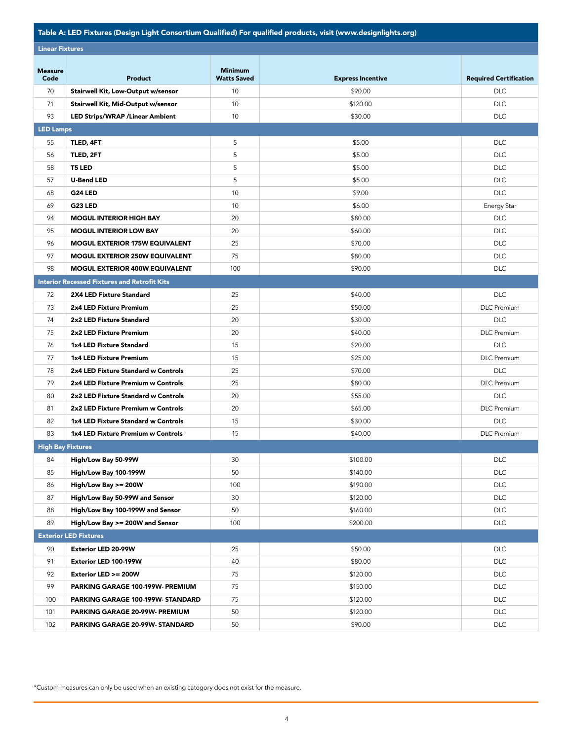## Table A: LED Fixtures (Design Light Consortium Qualified) For qualified products, visit (www.designlights.org)

| <b>Lingar Fixturge</b> |
|------------------------|

| <b>Linear Fixtures</b>   |                                                     |                                      |                          |                               |  |  |  |
|--------------------------|-----------------------------------------------------|--------------------------------------|--------------------------|-------------------------------|--|--|--|
| <b>Measure</b><br>Code   | Product                                             | <b>Minimum</b><br><b>Watts Saved</b> | <b>Express Incentive</b> | <b>Required Certification</b> |  |  |  |
| 70                       | Stairwell Kit, Low-Output w/sensor                  | 10                                   | \$90.00                  | <b>DLC</b>                    |  |  |  |
| 71                       | Stairwell Kit, Mid-Output w/sensor                  | 10                                   | \$120.00                 | <b>DLC</b>                    |  |  |  |
| 93                       | <b>LED Strips/WRAP / Linear Ambient</b>             | 10                                   | \$30.00                  | <b>DLC</b>                    |  |  |  |
| <b>LED Lamps</b>         |                                                     |                                      |                          |                               |  |  |  |
| 55                       | TLED, 4FT                                           | 5                                    | \$5.00                   | <b>DLC</b>                    |  |  |  |
| 56                       | TLED, 2FT                                           | 5                                    | \$5.00                   | <b>DLC</b>                    |  |  |  |
| 58                       | <b>T5 LED</b>                                       | 5                                    | \$5.00                   | <b>DLC</b>                    |  |  |  |
| 57                       | <b>U-Bend LED</b>                                   | 5                                    | \$5.00                   | <b>DLC</b>                    |  |  |  |
| 68                       | G24 LED                                             | 10                                   | \$9.00                   | <b>DLC</b>                    |  |  |  |
| 69                       | <b>G23 LED</b>                                      | 10                                   | \$6.00                   | Energy Star                   |  |  |  |
| 94                       | <b>MOGUL INTERIOR HIGH BAY</b>                      | 20                                   | \$80.00                  | <b>DLC</b>                    |  |  |  |
| 95                       | <b>MOGUL INTERIOR LOW BAY</b>                       | 20                                   | \$60.00                  | <b>DLC</b>                    |  |  |  |
| 96                       | <b>MOGUL EXTERIOR 175W EQUIVALENT</b>               | 25                                   | \$70.00                  | <b>DLC</b>                    |  |  |  |
| 97                       | <b>MOGUL EXTERIOR 250W EQUIVALENT</b>               | 75                                   | \$80.00                  | <b>DLC</b>                    |  |  |  |
| 98                       | <b>MOGUL EXTERIOR 400W EQUIVALENT</b>               | 100                                  | \$90.00                  | <b>DLC</b>                    |  |  |  |
|                          | <b>Interior Recessed Fixtures and Retrofit Kits</b> |                                      |                          |                               |  |  |  |
| 72                       | <b>2X4 LED Fixture Standard</b>                     | 25                                   | \$40.00                  | <b>DLC</b>                    |  |  |  |
| 73                       | 2x4 LED Fixture Premium                             | 25                                   | \$50.00                  | <b>DLC</b> Premium            |  |  |  |
| 74                       | 2x2 LED Fixture Standard                            | 20                                   | \$30.00                  | <b>DLC</b>                    |  |  |  |
| 75                       | 2x2 LED Fixture Premium                             | 20                                   | \$40.00                  | <b>DLC</b> Premium            |  |  |  |
| 76                       | 1x4 LED Fixture Standard                            | 15                                   | \$20.00                  | <b>DLC</b>                    |  |  |  |
| 77                       | 1x4 LED Fixture Premium                             | 15                                   | \$25.00                  | <b>DLC</b> Premium            |  |  |  |
| 78                       | 2x4 LED Fixture Standard w Controls                 | 25                                   | \$70.00                  | <b>DLC</b>                    |  |  |  |
| 79                       | 2x4 LED Fixture Premium w Controls                  | 25                                   | \$80.00                  | <b>DLC</b> Premium            |  |  |  |
| 80                       | 2x2 LED Fixture Standard w Controls                 | 20                                   | \$55.00                  | <b>DLC</b>                    |  |  |  |
| 81                       | 2x2 LED Fixture Premium w Controls                  | 20                                   | \$65.00                  | <b>DLC</b> Premium            |  |  |  |
| 82                       | 1x4 LED Fixture Standard w Controls                 | 15                                   | \$30.00                  | <b>DLC</b>                    |  |  |  |
| 83                       | 1x4 LED Fixture Premium w Controls                  | 15                                   | \$40.00                  | <b>DLC</b> Premium            |  |  |  |
| <b>High Bay Fixtures</b> |                                                     |                                      |                          |                               |  |  |  |
| 84                       | High/Low Bay 50-99W                                 | 30                                   | \$100.00                 | <b>DLC</b>                    |  |  |  |
| 85                       | High/Low Bay 100-199W                               | 50                                   | \$140.00                 | <b>DLC</b>                    |  |  |  |
| 86                       | High/Low Bay >= 200W                                | 100                                  | \$190.00                 | <b>DLC</b>                    |  |  |  |
| 87                       | High/Low Bay 50-99W and Sensor                      | 30                                   | \$120.00                 | <b>DLC</b>                    |  |  |  |
| 88                       | High/Low Bay 100-199W and Sensor                    | 50                                   | \$160.00                 | <b>DLC</b>                    |  |  |  |
| 89                       | High/Low Bay >= 200W and Sensor                     | 100                                  | \$200.00                 | <b>DLC</b>                    |  |  |  |
|                          | <b>Exterior LED Fixtures</b>                        |                                      |                          |                               |  |  |  |
| 90                       | <b>Exterior LED 20-99W</b>                          | 25                                   | \$50.00                  | <b>DLC</b>                    |  |  |  |
| 91                       | Exterior LED 100-199W                               | 40                                   | \$80.00                  | <b>DLC</b>                    |  |  |  |
| 92                       | Exterior LED >= 200W                                | 75                                   | \$120.00                 | <b>DLC</b>                    |  |  |  |
| 99                       | PARKING GARAGE 100-199W- PREMIUM                    | 75                                   | \$150.00                 | <b>DLC</b>                    |  |  |  |
| 100                      | PARKING GARAGE 100-199W- STANDARD                   | 75                                   | \$120.00                 | <b>DLC</b>                    |  |  |  |
| 101                      | PARKING GARAGE 20-99W- PREMIUM                      | 50                                   | \$120.00                 | <b>DLC</b>                    |  |  |  |
| 102                      | PARKING GARAGE 20-99W- STANDARD                     | 50                                   | \$90.00                  | <b>DLC</b>                    |  |  |  |

\*Custom measures can only be used when an existing category does not exist for the measure.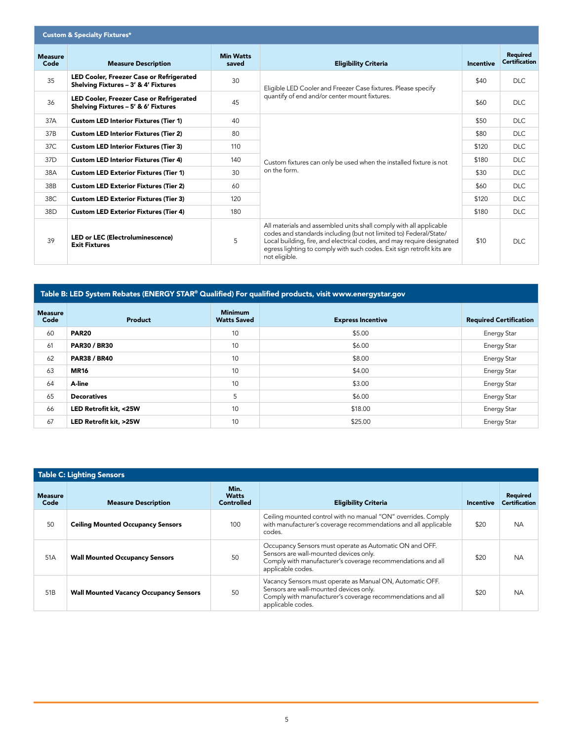| <b>Custom &amp; Specialty Fixtures*</b> |                                                                                  |                           |                                                                                                                                                                                                                                                                                                              |                  |                                         |  |
|-----------------------------------------|----------------------------------------------------------------------------------|---------------------------|--------------------------------------------------------------------------------------------------------------------------------------------------------------------------------------------------------------------------------------------------------------------------------------------------------------|------------------|-----------------------------------------|--|
| <b>Measure</b><br>Code                  | <b>Measure Description</b>                                                       | <b>Min Watts</b><br>saved | <b>Eligibility Criteria</b>                                                                                                                                                                                                                                                                                  | <b>Incentive</b> | <b>Required</b><br><b>Certification</b> |  |
| 35                                      | LED Cooler, Freezer Case or Refrigerated<br>Shelving Fixtures - 3' & 4' Fixtures | 30                        | Eligible LED Cooler and Freezer Case fixtures. Please specify<br>quantify of end and/or center mount fixtures.                                                                                                                                                                                               | \$40             | DLC.                                    |  |
| 36                                      | LED Cooler, Freezer Case or Refrigerated<br>Shelving Fixtures - 5' & 6' Fixtures | 45                        |                                                                                                                                                                                                                                                                                                              | \$60             | <b>DLC</b>                              |  |
| 37A                                     | <b>Custom LED Interior Fixtures (Tier 1)</b>                                     | 40                        | Custom fixtures can only be used when the installed fixture is not<br>on the form.                                                                                                                                                                                                                           | \$50             | <b>DLC</b>                              |  |
| 37B                                     | <b>Custom LED Interior Fixtures (Tier 2)</b>                                     | 80                        |                                                                                                                                                                                                                                                                                                              | \$80             | <b>DLC</b>                              |  |
| 37C                                     | <b>Custom LED Interior Fixtures (Tier 3)</b>                                     | 110                       |                                                                                                                                                                                                                                                                                                              | \$120            | <b>DLC</b>                              |  |
| 37 <sub>D</sub>                         | <b>Custom LED Interior Fixtures (Tier 4)</b>                                     | 140                       |                                                                                                                                                                                                                                                                                                              | \$180            | <b>DLC</b>                              |  |
| 38A                                     | <b>Custom LED Exterior Fixtures (Tier 1)</b>                                     | 30                        |                                                                                                                                                                                                                                                                                                              | \$30             | <b>DLC</b>                              |  |
| 38B                                     | <b>Custom LED Exterior Fixtures (Tier 2)</b>                                     | 60                        |                                                                                                                                                                                                                                                                                                              | \$60             | <b>DLC</b>                              |  |
| 38C                                     | <b>Custom LED Exterior Fixtures (Tier 3)</b>                                     | 120                       |                                                                                                                                                                                                                                                                                                              | \$120            | <b>DLC</b>                              |  |
| 38D                                     | <b>Custom LED Exterior Fixtures (Tier 4)</b>                                     | 180                       |                                                                                                                                                                                                                                                                                                              | \$180            | <b>DLC</b>                              |  |
| 39                                      | <b>LED or LEC (Electroluminescence)</b><br><b>Exit Fixtures</b>                  | 5                         | All materials and assembled units shall comply with all applicable<br>codes and standards including (but not limited to) Federal/State/<br>Local building, fire, and electrical codes, and may require designated<br>egress lighting to comply with such codes. Exit sign retrofit kits are<br>not eligible. | \$10             | <b>DLC</b>                              |  |

## Table B: LED System Rebates (ENERGY STAR® Qualified) For qualified products, visit www.energystar.gov

| <b>Measure</b><br>Code | Product                | <b>Minimum</b><br><b>Watts Saved</b> | <b>Express Incentive</b> | <b>Required Certification</b> |  |
|------------------------|------------------------|--------------------------------------|--------------------------|-------------------------------|--|
| 60                     | <b>PAR20</b>           | 10                                   | \$5.00                   | Energy Star                   |  |
| 61                     | <b>PAR30 / BR30</b>    | 10                                   | \$6.00                   | Energy Star                   |  |
| 62                     | <b>PAR38 / BR40</b>    | 10                                   | \$8.00                   | Energy Star                   |  |
| 63                     | <b>MR16</b>            | 10                                   | \$4.00                   | Energy Star                   |  |
| 64                     | A-line                 | 10                                   | \$3.00                   | Energy Star                   |  |
| 65                     | <b>Decoratives</b>     | 5                                    | \$6.00                   | Energy Star                   |  |
| 66                     | LED Retrofit kit, <25W | 10                                   | \$18.00                  | Energy Star                   |  |
| 67                     | LED Retrofit kit, >25W | 10                                   | \$25.00                  | Energy Star                   |  |

| Table C: Lighting Sensors |                                               |                                    |                                                                                                                                                                                         |           |                                         |  |
|---------------------------|-----------------------------------------------|------------------------------------|-----------------------------------------------------------------------------------------------------------------------------------------------------------------------------------------|-----------|-----------------------------------------|--|
| <b>Measure</b><br>Code    | <b>Measure Description</b>                    | Min.<br><b>Watts</b><br>Controlled | <b>Eligibility Criteria</b>                                                                                                                                                             | Incentive | <b>Required</b><br><b>Certification</b> |  |
| 50                        | <b>Ceiling Mounted Occupancy Sensors</b>      | 100                                | Ceiling mounted control with no manual "ON" overrides. Comply<br>with manufacturer's coverage recommendations and all applicable<br>codes.                                              | \$20      | <b>NA</b>                               |  |
| 51A                       | <b>Wall Mounted Occupancy Sensors</b>         | 50                                 | Occupancy Sensors must operate as Automatic ON and OFF.<br>Sensors are wall-mounted devices only.<br>Comply with manufacturer's coverage recommendations and all<br>applicable codes.   | \$20      | <b>NA</b>                               |  |
| 51 <sub>B</sub>           | <b>Wall Mounted Vacancy Occupancy Sensors</b> | 50                                 | Vacancy Sensors must operate as Manual ON, Automatic OFF.<br>Sensors are wall-mounted devices only.<br>Comply with manufacturer's coverage recommendations and all<br>applicable codes. | \$20      | <b>NA</b>                               |  |